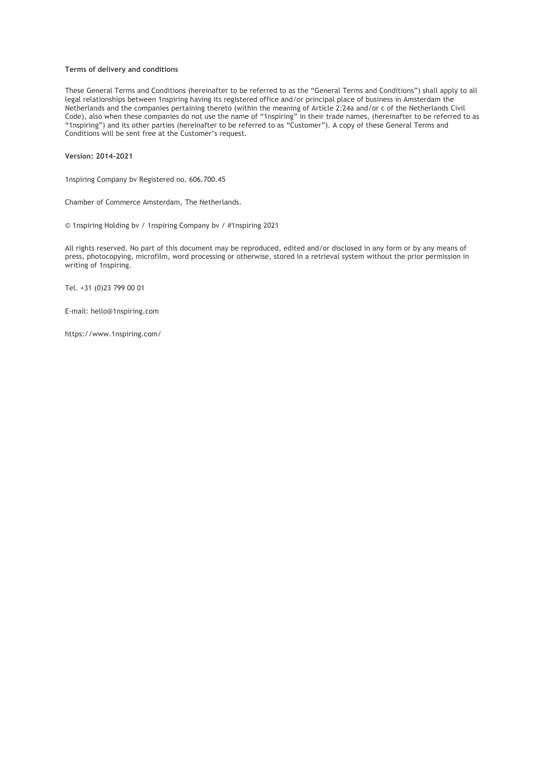# **Terms of delivery and conditions**

These General Terms and Conditions (hereinafter to be referred to as the "General Terms and Conditions") shall apply to all legal relationships between 1nspiring having its registered office and/or principal place of business in Amsterdam the Netherlands and the companies pertaining thereto (within the meaning of Article 2:24a and/or c of the Netherlands Civil Code), also when these companies do not use the name of "1nspiring" in their trade names, (hereinafter to be referred to as "1nspiring") and its other parties (hereinafter to be referred to as "Customer"). A copy of these General Terms and Conditions will be sent free at the Customer's request.

**Version: 2014-2021**

1nspiring Company bv Registered no. 606.700.45

Chamber of Commerce Amsterdam, The Netherlands.

© 1nspiring Holding bv / 1nspiring Company bv / #1nspiring 2021

All rights reserved. No part of this document may be reproduced, edited and/or disclosed in any form or by any means of press, photocopying, microfilm, word processing or otherwise, stored in a retrieval system without the prior permission in writing of 1nspiring.

Tel. +31 (0)23 799 00 01

E-mail: hello@1nspiring.com

https://www.1nspiring.com/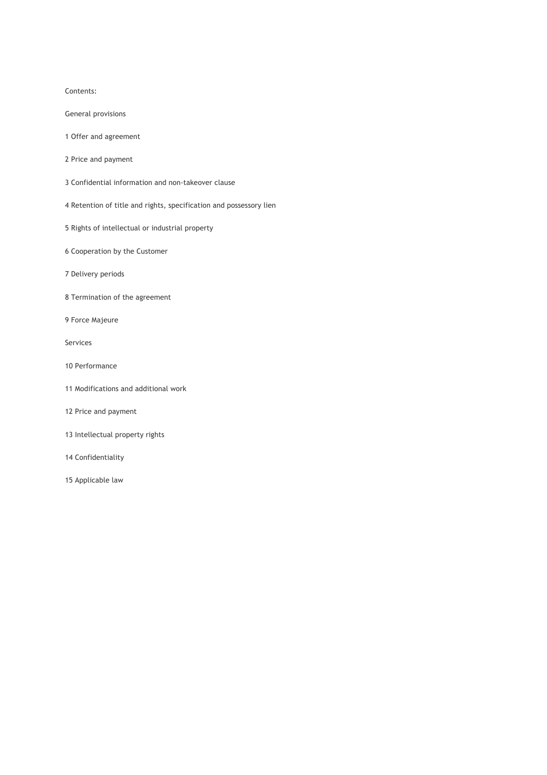# Contents:

- General provisions
- 1 Offer and agreement
- 2 Price and payment
- 3 Confidential information and non-takeover clause
- 4 Retention of title and rights, specification and possessory lien
- 5 Rights of intellectual or industrial property
- 6 Cooperation by the Customer
- 7 Delivery periods
- 8 Termination of the agreement
- 9 Force Majeure
- Services
- 10 Performance
- 11 Modifications and additional work
- 12 Price and payment
- 13 Intellectual property rights
- 14 Confidentiality
- 15 Applicable law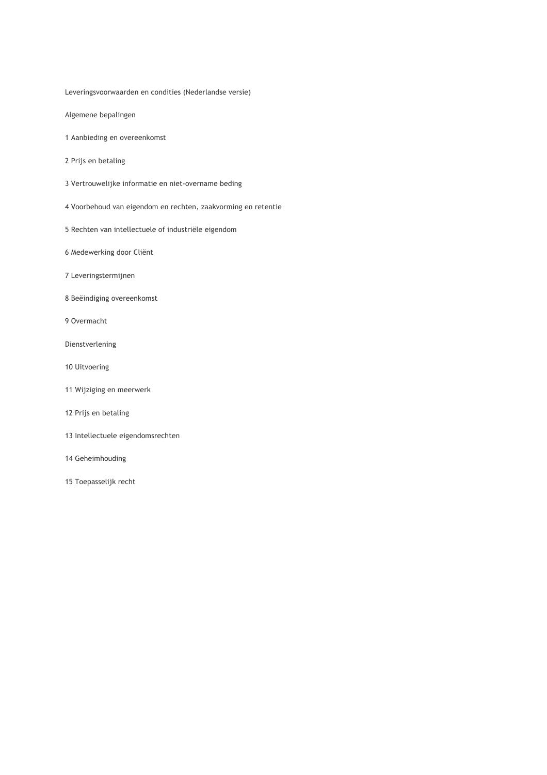Leveringsvoorwaarden en condities (Nederlandse versie)

Algemene bepalingen

- 1 Aanbieding en overeenkomst
- 2 Prijs en betaling
- 3 Vertrouwelijke informatie en niet-overname beding
- 4 Voorbehoud van eigendom en rechten, zaakvorming en retentie
- 5 Rechten van intellectuele of industriële eigendom
- 6 Medewerking door Cliënt
- 7 Leveringstermijnen
- 8 Beëindiging overeenkomst
- 9 Overmacht
- Dienstverlening
- 10 Uitvoering
- 11 Wijziging en meerwerk
- 12 Prijs en betaling
- 13 Intellectuele eigendomsrechten
- 14 Geheimhouding
- 15 Toepasselijk recht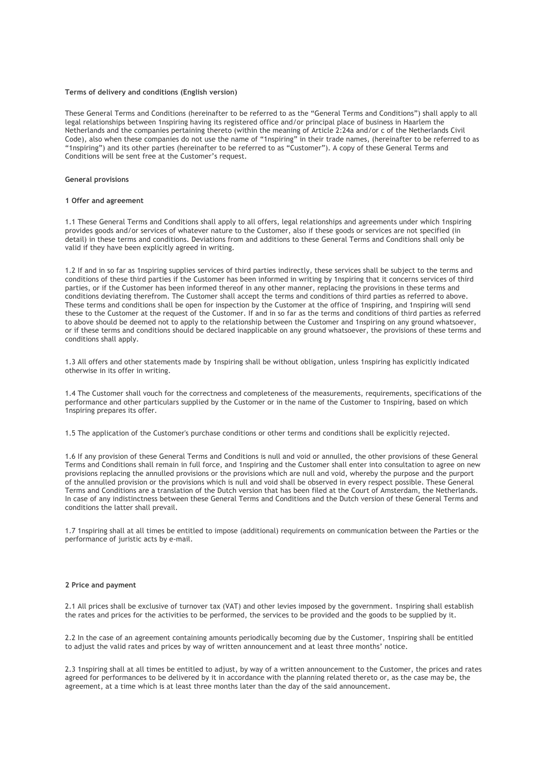## **Terms of delivery and conditions (English version)**

These General Terms and Conditions (hereinafter to be referred to as the "General Terms and Conditions") shall apply to all legal relationships between 1nspiring having its registered office and/or principal place of business in Haarlem the Netherlands and the companies pertaining thereto (within the meaning of Article 2:24a and/or c of the Netherlands Civil Code), also when these companies do not use the name of "1nspiring" in their trade names, (hereinafter to be referred to as "1nspiring") and its other parties (hereinafter to be referred to as "Customer"). A copy of these General Terms and Conditions will be sent free at the Customer's request.

# **General provisions**

## **1 Offer and agreement**

1.1 These General Terms and Conditions shall apply to all offers, legal relationships and agreements under which 1nspiring provides goods and/or services of whatever nature to the Customer, also if these goods or services are not specified (in detail) in these terms and conditions. Deviations from and additions to these General Terms and Conditions shall only be valid if they have been explicitly agreed in writing.

1.2 If and in so far as 1nspiring supplies services of third parties indirectly, these services shall be subject to the terms and conditions of these third parties if the Customer has been informed in writing by 1nspiring that it concerns services of third parties, or if the Customer has been informed thereof in any other manner, replacing the provisions in these terms and conditions deviating therefrom. The Customer shall accept the terms and conditions of third parties as referred to above. These terms and conditions shall be open for inspection by the Customer at the office of 1nspiring, and 1nspiring will send these to the Customer at the request of the Customer. If and in so far as the terms and conditions of third parties as referred to above should be deemed not to apply to the relationship between the Customer and 1nspiring on any ground whatsoever, or if these terms and conditions should be declared inapplicable on any ground whatsoever, the provisions of these terms and conditions shall apply.

1.3 All offers and other statements made by 1nspiring shall be without obligation, unless 1nspiring has explicitly indicated otherwise in its offer in writing.

1.4 The Customer shall vouch for the correctness and completeness of the measurements, requirements, specifications of the performance and other particulars supplied by the Customer or in the name of the Customer to 1nspiring, based on which 1nspiring prepares its offer.

1.5 The application of the Customer's purchase conditions or other terms and conditions shall be explicitly rejected.

1.6 If any provision of these General Terms and Conditions is null and void or annulled, the other provisions of these General Terms and Conditions shall remain in full force, and 1nspiring and the Customer shall enter into consultation to agree on new provisions replacing the annulled provisions or the provisions which are null and void, whereby the purpose and the purport of the annulled provision or the provisions which is null and void shall be observed in every respect possible. These General Terms and Conditions are a translation of the Dutch version that has been filed at the Court of Amsterdam, the Netherlands. In case of any indistinctness between these General Terms and Conditions and the Dutch version of these General Terms and conditions the latter shall prevail.

1.7 1nspiring shall at all times be entitled to impose (additional) requirements on communication between the Parties or the performance of juristic acts by e-mail.

#### **2 Price and payment**

2.1 All prices shall be exclusive of turnover tax (VAT) and other levies imposed by the government. 1nspiring shall establish the rates and prices for the activities to be performed, the services to be provided and the goods to be supplied by it.

2.2 In the case of an agreement containing amounts periodically becoming due by the Customer, 1nspiring shall be entitled to adjust the valid rates and prices by way of written announcement and at least three months' notice.

2.3 1nspiring shall at all times be entitled to adjust, by way of a written announcement to the Customer, the prices and rates agreed for performances to be delivered by it in accordance with the planning related thereto or, as the case may be, the agreement, at a time which is at least three months later than the day of the said announcement.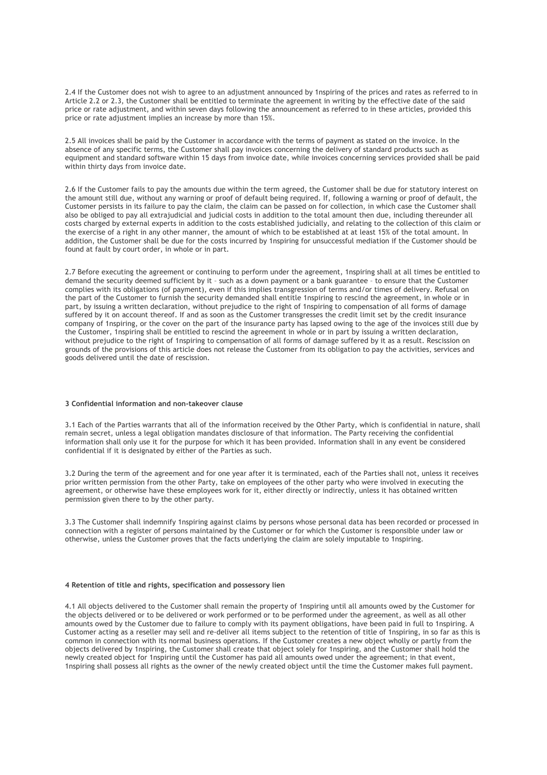2.4 If the Customer does not wish to agree to an adjustment announced by 1nspiring of the prices and rates as referred to in Article 2.2 or 2.3, the Customer shall be entitled to terminate the agreement in writing by the effective date of the said price or rate adjustment, and within seven days following the announcement as referred to in these articles, provided this price or rate adjustment implies an increase by more than 15%.

2.5 All invoices shall be paid by the Customer in accordance with the terms of payment as stated on the invoice. In the absence of any specific terms, the Customer shall pay invoices concerning the delivery of standard products such as equipment and standard software within 15 days from invoice date, while invoices concerning services provided shall be paid within thirty days from invoice date.

2.6 If the Customer fails to pay the amounts due within the term agreed, the Customer shall be due for statutory interest on the amount still due, without any warning or proof of default being required. If, following a warning or proof of default, the Customer persists in its failure to pay the claim, the claim can be passed on for collection, in which case the Customer shall also be obliged to pay all extrajudicial and judicial costs in addition to the total amount then due, including thereunder all costs charged by external experts in addition to the costs established judicially, and relating to the collection of this claim or the exercise of a right in any other manner, the amount of which to be established at at least 15% of the total amount. In addition, the Customer shall be due for the costs incurred by 1nspiring for unsuccessful mediation if the Customer should be found at fault by court order, in whole or in part.

2.7 Before executing the agreement or continuing to perform under the agreement, 1nspiring shall at all times be entitled to demand the security deemed sufficient by it – such as a down payment or a bank guarantee – to ensure that the Customer complies with its obligations (of payment), even if this implies transgression of terms and/or times of delivery. Refusal on the part of the Customer to furnish the security demanded shall entitle 1nspiring to rescind the agreement, in whole or in part, by issuing a written declaration, without prejudice to the right of 1nspiring to compensation of all forms of damage suffered by it on account thereof. If and as soon as the Customer transgresses the credit limit set by the credit insurance company of 1nspiring, or the cover on the part of the insurance party has lapsed owing to the age of the invoices still due by the Customer, 1nspiring shall be entitled to rescind the agreement in whole or in part by issuing a written declaration, without prejudice to the right of 1nspiring to compensation of all forms of damage suffered by it as a result. Rescission on grounds of the provisions of this article does not release the Customer from its obligation to pay the activities, services and goods delivered until the date of rescission.

# **3 Confidential information and non-takeover clause**

3.1 Each of the Parties warrants that all of the information received by the Other Party, which is confidential in nature, shall remain secret, unless a legal obligation mandates disclosure of that information. The Party receiving the confidential information shall only use it for the purpose for which it has been provided. Information shall in any event be considered confidential if it is designated by either of the Parties as such.

3.2 During the term of the agreement and for one year after it is terminated, each of the Parties shall not, unless it receives prior written permission from the other Party, take on employees of the other party who were involved in executing the agreement, or otherwise have these employees work for it, either directly or indirectly, unless it has obtained written permission given there to by the other party.

3.3 The Customer shall indemnify 1nspiring against claims by persons whose personal data has been recorded or processed in connection with a register of persons maintained by the Customer or for which the Customer is responsible under law or otherwise, unless the Customer proves that the facts underlying the claim are solely imputable to 1nspiring.

## **4 Retention of title and rights, specification and possessory lien**

4.1 All objects delivered to the Customer shall remain the property of 1nspiring until all amounts owed by the Customer for the objects delivered or to be delivered or work performed or to be performed under the agreement, as well as all other amounts owed by the Customer due to failure to comply with its payment obligations, have been paid in full to 1nspiring. A Customer acting as a reseller may sell and re-deliver all items subject to the retention of title of 1nspiring, in so far as this is common in connection with its normal business operations. If the Customer creates a new object wholly or partly from the objects delivered by 1nspiring, the Customer shall create that object solely for 1nspiring, and the Customer shall hold the newly created object for 1nspiring until the Customer has paid all amounts owed under the agreement; in that event, 1nspiring shall possess all rights as the owner of the newly created object until the time the Customer makes full payment.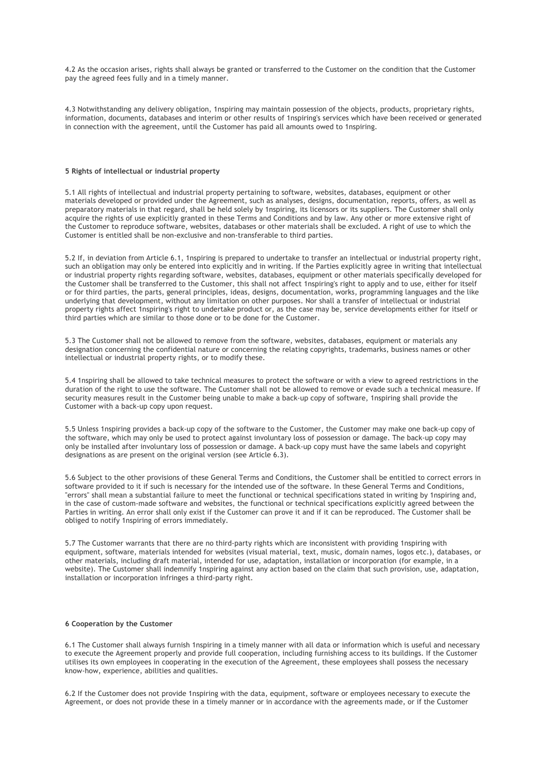4.2 As the occasion arises, rights shall always be granted or transferred to the Customer on the condition that the Customer pay the agreed fees fully and in a timely manner.

4.3 Notwithstanding any delivery obligation, 1nspiring may maintain possession of the objects, products, proprietary rights, information, documents, databases and interim or other results of 1nspiring's services which have been received or generated in connection with the agreement, until the Customer has paid all amounts owed to 1nspiring.

## **5 Rights of intellectual or industrial property**

5.1 All rights of intellectual and industrial property pertaining to software, websites, databases, equipment or other materials developed or provided under the Agreement, such as analyses, designs, documentation, reports, offers, as well as preparatory materials in that regard, shall be held solely by 1nspiring, its licensors or its suppliers. The Customer shall only acquire the rights of use explicitly granted in these Terms and Conditions and by law. Any other or more extensive right of the Customer to reproduce software, websites, databases or other materials shall be excluded. A right of use to which the Customer is entitled shall be non-exclusive and non-transferable to third parties.

5.2 If, in deviation from Article 6.1, 1nspiring is prepared to undertake to transfer an intellectual or industrial property right, such an obligation may only be entered into explicitly and in writing. If the Parties explicitly agree in writing that intellectual or industrial property rights regarding software, websites, databases, equipment or other materials specifically developed for the Customer shall be transferred to the Customer, this shall not affect 1nspiring's right to apply and to use, either for itself or for third parties, the parts, general principles, ideas, designs, documentation, works, programming languages and the like underlying that development, without any limitation on other purposes. Nor shall a transfer of intellectual or industrial property rights affect 1nspiring's right to undertake product or, as the case may be, service developments either for itself or third parties which are similar to those done or to be done for the Customer.

5.3 The Customer shall not be allowed to remove from the software, websites, databases, equipment or materials any designation concerning the confidential nature or concerning the relating copyrights, trademarks, business names or other intellectual or industrial property rights, or to modify these.

5.4 1nspiring shall be allowed to take technical measures to protect the software or with a view to agreed restrictions in the duration of the right to use the software. The Customer shall not be allowed to remove or evade such a technical measure. If security measures result in the Customer being unable to make a back-up copy of software, 1nspiring shall provide the Customer with a back-up copy upon request.

5.5 Unless 1nspiring provides a back-up copy of the software to the Customer, the Customer may make one back-up copy of the software, which may only be used to protect against involuntary loss of possession or damage. The back-up copy may only be installed after involuntary loss of possession or damage. A back-up copy must have the same labels and copyright designations as are present on the original version (see Article 6.3).

5.6 Subject to the other provisions of these General Terms and Conditions, the Customer shall be entitled to correct errors in software provided to it if such is necessary for the intended use of the software. In these General Terms and Conditions, "errors" shall mean a substantial failure to meet the functional or technical specifications stated in writing by 1nspiring and, in the case of custom-made software and websites, the functional or technical specifications explicitly agreed between the Parties in writing. An error shall only exist if the Customer can prove it and if it can be reproduced. The Customer shall be obliged to notify 1nspiring of errors immediately.

5.7 The Customer warrants that there are no third-party rights which are inconsistent with providing 1nspiring with equipment, software, materials intended for websites (visual material, text, music, domain names, logos etc.), databases, or other materials, including draft material, intended for use, adaptation, installation or incorporation (for example, in a website). The Customer shall indemnify 1nspiring against any action based on the claim that such provision, use, adaptation, installation or incorporation infringes a third-party right.

### **6 Cooperation by the Customer**

6.1 The Customer shall always furnish 1nspiring in a timely manner with all data or information which is useful and necessary to execute the Agreement properly and provide full cooperation, including furnishing access to its buildings. If the Customer utilises its own employees in cooperating in the execution of the Agreement, these employees shall possess the necessary know-how, experience, abilities and qualities.

6.2 If the Customer does not provide 1nspiring with the data, equipment, software or employees necessary to execute the Agreement, or does not provide these in a timely manner or in accordance with the agreements made, or if the Customer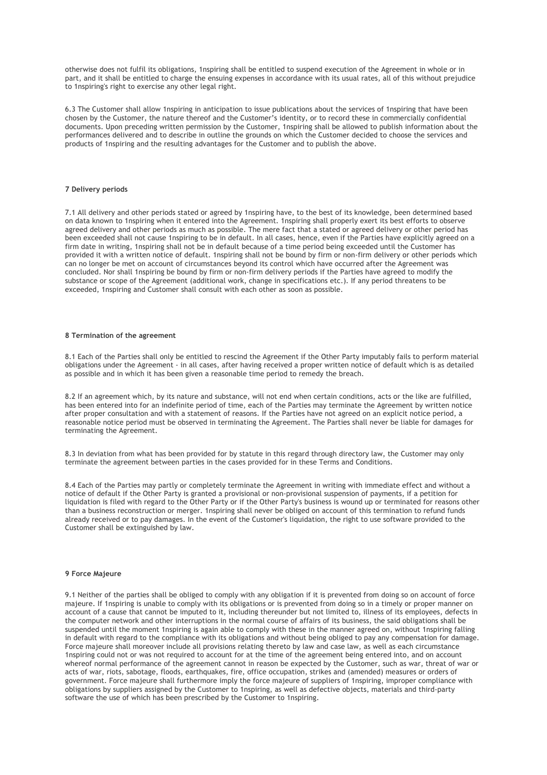otherwise does not fulfil its obligations, 1nspiring shall be entitled to suspend execution of the Agreement in whole or in part, and it shall be entitled to charge the ensuing expenses in accordance with its usual rates, all of this without prejudice to 1nspiring's right to exercise any other legal right.

6.3 The Customer shall allow 1nspiring in anticipation to issue publications about the services of 1nspiring that have been chosen by the Customer, the nature thereof and the Customer's identity, or to record these in commercially confidential documents. Upon preceding written permission by the Customer, 1nspiring shall be allowed to publish information about the performances delivered and to describe in outline the grounds on which the Customer decided to choose the services and products of 1nspiring and the resulting advantages for the Customer and to publish the above.

# **7 Delivery periods**

7.1 All delivery and other periods stated or agreed by 1nspiring have, to the best of its knowledge, been determined based on data known to 1nspiring when it entered into the Agreement. 1nspiring shall properly exert its best efforts to observe agreed delivery and other periods as much as possible. The mere fact that a stated or agreed delivery or other period has been exceeded shall not cause 1nspiring to be in default. In all cases, hence, even if the Parties have explicitly agreed on a firm date in writing, 1nspiring shall not be in default because of a time period being exceeded until the Customer has provided it with a written notice of default. 1nspiring shall not be bound by firm or non-firm delivery or other periods which can no longer be met on account of circumstances beyond its control which have occurred after the Agreement was concluded. Nor shall 1nspiring be bound by firm or non-firm delivery periods if the Parties have agreed to modify the substance or scope of the Agreement (additional work, change in specifications etc.). If any period threatens to be exceeded, 1nspiring and Customer shall consult with each other as soon as possible.

### **8 Termination of the agreement**

8.1 Each of the Parties shall only be entitled to rescind the Agreement if the Other Party imputably fails to perform material obligations under the Agreement - in all cases, after having received a proper written notice of default which is as detailed as possible and in which it has been given a reasonable time period to remedy the breach.

8.2 If an agreement which, by its nature and substance, will not end when certain conditions, acts or the like are fulfilled, has been entered into for an indefinite period of time, each of the Parties may terminate the Agreement by written notice after proper consultation and with a statement of reasons. If the Parties have not agreed on an explicit notice period, a reasonable notice period must be observed in terminating the Agreement. The Parties shall never be liable for damages for terminating the Agreement.

8.3 In deviation from what has been provided for by statute in this regard through directory law, the Customer may only terminate the agreement between parties in the cases provided for in these Terms and Conditions.

8.4 Each of the Parties may partly or completely terminate the Agreement in writing with immediate effect and without a notice of default if the Other Party is granted a provisional or non-provisional suspension of payments, if a petition for liquidation is filed with regard to the Other Party or if the Other Party's business is wound up or terminated for reasons other than a business reconstruction or merger. 1nspiring shall never be obliged on account of this termination to refund funds already received or to pay damages. In the event of the Customer's liquidation, the right to use software provided to the Customer shall be extinguished by law.

#### **9 Force Majeure**

9.1 Neither of the parties shall be obliged to comply with any obligation if it is prevented from doing so on account of force majeure. If 1nspiring is unable to comply with its obligations or is prevented from doing so in a timely or proper manner on account of a cause that cannot be imputed to it, including thereunder but not limited to, illness of its employees, defects in the computer network and other interruptions in the normal course of affairs of its business, the said obligations shall be suspended until the moment 1nspiring is again able to comply with these in the manner agreed on, without 1nspiring falling in default with regard to the compliance with its obligations and without being obliged to pay any compensation for damage. Force majeure shall moreover include all provisions relating thereto by law and case law, as well as each circumstance 1nspiring could not or was not required to account for at the time of the agreement being entered into, and on account whereof normal performance of the agreement cannot in reason be expected by the Customer, such as war, threat of war or acts of war, riots, sabotage, floods, earthquakes, fire, office occupation, strikes and (amended) measures or orders of government. Force majeure shall furthermore imply the force majeure of suppliers of 1nspiring, improper compliance with obligations by suppliers assigned by the Customer to 1nspiring, as well as defective objects, materials and third-party software the use of which has been prescribed by the Customer to 1nspiring.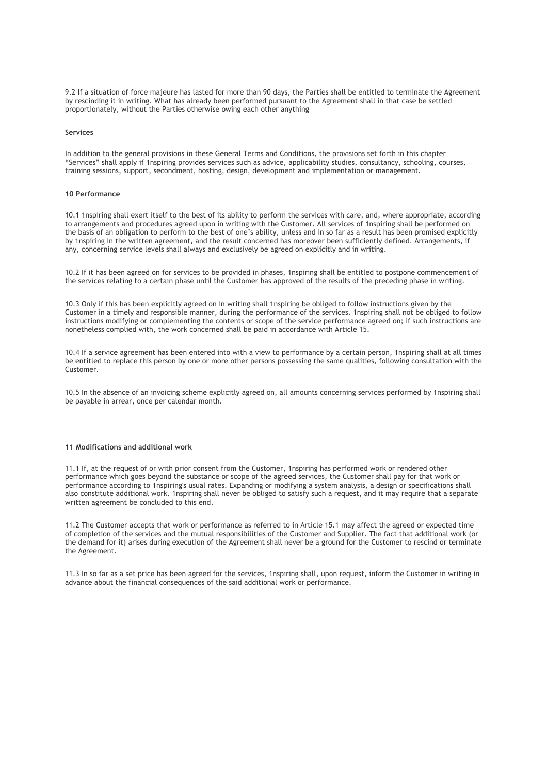9.2 If a situation of force majeure has lasted for more than 90 days, the Parties shall be entitled to terminate the Agreement by rescinding it in writing. What has already been performed pursuant to the Agreement shall in that case be settled proportionately, without the Parties otherwise owing each other anything

# **Services**

In addition to the general provisions in these General Terms and Conditions, the provisions set forth in this chapter "Services" shall apply if 1nspiring provides services such as advice, applicability studies, consultancy, schooling, courses, training sessions, support, secondment, hosting, design, development and implementation or management.

# **10 Performance**

10.1 1nspiring shall exert itself to the best of its ability to perform the services with care, and, where appropriate, according to arrangements and procedures agreed upon in writing with the Customer. All services of 1nspiring shall be performed on the basis of an obligation to perform to the best of one's ability, unless and in so far as a result has been promised explicitly by 1nspiring in the written agreement, and the result concerned has moreover been sufficiently defined. Arrangements, if any, concerning service levels shall always and exclusively be agreed on explicitly and in writing.

10.2 If it has been agreed on for services to be provided in phases, 1nspiring shall be entitled to postpone commencement of the services relating to a certain phase until the Customer has approved of the results of the preceding phase in writing.

10.3 Only if this has been explicitly agreed on in writing shall 1nspiring be obliged to follow instructions given by the Customer in a timely and responsible manner, during the performance of the services. 1nspiring shall not be obliged to follow instructions modifying or complementing the contents or scope of the service performance agreed on; if such instructions are nonetheless complied with, the work concerned shall be paid in accordance with Article 15.

10.4 If a service agreement has been entered into with a view to performance by a certain person, 1nspiring shall at all times be entitled to replace this person by one or more other persons possessing the same qualities, following consultation with the Customer.

10.5 In the absence of an invoicing scheme explicitly agreed on, all amounts concerning services performed by 1nspiring shall be payable in arrear, once per calendar month.

# **11 Modifications and additional work**

11.1 If, at the request of or with prior consent from the Customer, 1nspiring has performed work or rendered other performance which goes beyond the substance or scope of the agreed services, the Customer shall pay for that work or performance according to 1nspiring's usual rates. Expanding or modifying a system analysis, a design or specifications shall also constitute additional work. 1nspiring shall never be obliged to satisfy such a request, and it may require that a separate written agreement be concluded to this end.

11.2 The Customer accepts that work or performance as referred to in Article 15.1 may affect the agreed or expected time of completion of the services and the mutual responsibilities of the Customer and Supplier. The fact that additional work (or the demand for it) arises during execution of the Agreement shall never be a ground for the Customer to rescind or terminate the Agreement.

11.3 In so far as a set price has been agreed for the services, 1nspiring shall, upon request, inform the Customer in writing in advance about the financial consequences of the said additional work or performance.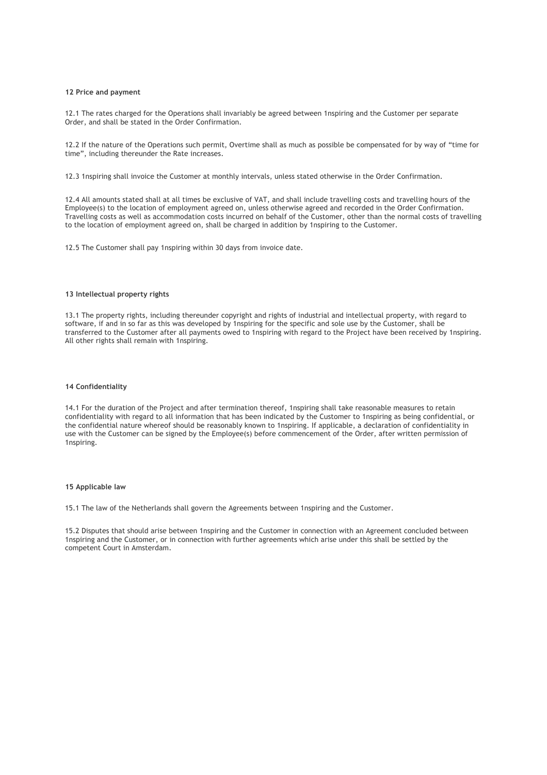# **12 Price and payment**

12.1 The rates charged for the Operations shall invariably be agreed between 1nspiring and the Customer per separate Order, and shall be stated in the Order Confirmation.

12.2 If the nature of the Operations such permit, Overtime shall as much as possible be compensated for by way of "time for time", including thereunder the Rate increases.

12.3 1nspiring shall invoice the Customer at monthly intervals, unless stated otherwise in the Order Confirmation.

12.4 All amounts stated shall at all times be exclusive of VAT, and shall include travelling costs and travelling hours of the Employee(s) to the location of employment agreed on, unless otherwise agreed and recorded in the Order Confirmation. Travelling costs as well as accommodation costs incurred on behalf of the Customer, other than the normal costs of travelling to the location of employment agreed on, shall be charged in addition by 1nspiring to the Customer.

12.5 The Customer shall pay 1nspiring within 30 days from invoice date.

### **13 Intellectual property rights**

13.1 The property rights, including thereunder copyright and rights of industrial and intellectual property, with regard to software, if and in so far as this was developed by 1nspiring for the specific and sole use by the Customer, shall be transferred to the Customer after all payments owed to 1nspiring with regard to the Project have been received by 1nspiring. All other rights shall remain with 1nspiring.

# **14 Confidentiality**

14.1 For the duration of the Project and after termination thereof, 1nspiring shall take reasonable measures to retain confidentiality with regard to all information that has been indicated by the Customer to 1nspiring as being confidential, or the confidential nature whereof should be reasonably known to 1nspiring. If applicable, a declaration of confidentiality in use with the Customer can be signed by the Employee(s) before commencement of the Order, after written permission of 1nspiring.

### **15 Applicable law**

15.1 The law of the Netherlands shall govern the Agreements between 1nspiring and the Customer.

15.2 Disputes that should arise between 1nspiring and the Customer in connection with an Agreement concluded between 1nspiring and the Customer, or in connection with further agreements which arise under this shall be settled by the competent Court in Amsterdam.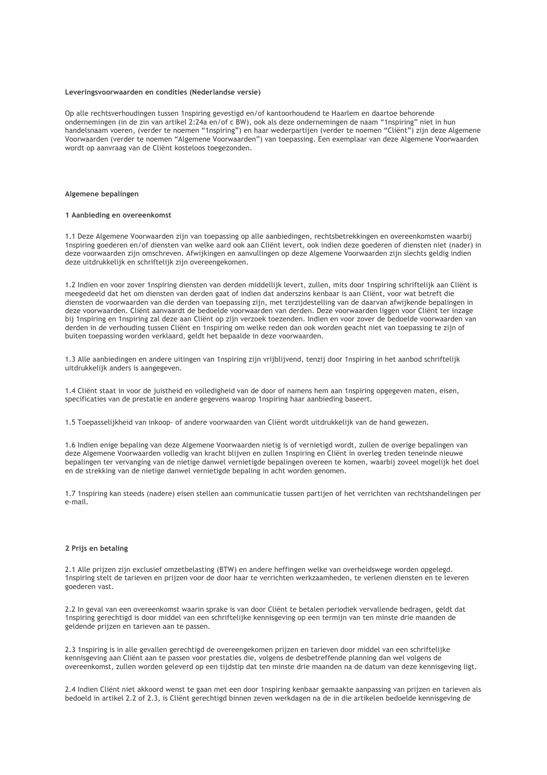#### **Leveringsvoorwaarden en condities (Nederlandse versie)**

Op alle rechtsverhoudingen tussen 1nspiring gevestigd en/of kantoorhoudend te Haarlem en daartoe behorende ondernemingen (in de zin van artikel 2:24a en/of c BW), ook als deze ondernemingen de naam "1nspiring" niet in hun handelsnaam voeren, (verder te noemen "1nspiring") en haar wederpartijen (verder te noemen "Cliënt") zijn deze Algemene Voorwaarden (verder te noemen "Algemene Voorwaarden") van toepassing. Een exemplaar van deze Algemene Voorwaarden wordt op aanvraag van de Cliënt kosteloos toegezonden.

## **Algemene bepalingen**

## **1 Aanbieding en overeenkomst**

1.1 Deze Algemene Voorwaarden zijn van toepassing op alle aanbiedingen, rechtsbetrekkingen en overeenkomsten waarbij 1nspiring goederen en/of diensten van welke aard ook aan Cliënt levert, ook indien deze goederen of diensten niet (nader) in deze voorwaarden zijn omschreven. Afwijkingen en aanvullingen op deze Algemene Voorwaarden zijn slechts geldig indien deze uitdrukkelijk en schriftelijk zijn overeengekomen.

1.2 Indien en voor zover 1nspiring diensten van derden middellijk levert, zullen, mits door 1nspiring schriftelijk aan Cliënt is meegedeeld dat het om diensten van derden gaat of indien dat anderszins kenbaar is aan Cliënt, voor wat betreft die diensten de voorwaarden van die derden van toepassing zijn, met terzijdestelling van de daarvan afwijkende bepalingen in deze voorwaarden. Cliënt aanvaardt de bedoelde voorwaarden van derden. Deze voorwaarden liggen voor Cliënt ter inzage bij 1nspiring en 1nspiring zal deze aan Cliënt op zijn verzoek toezenden. Indien en voor zover de bedoelde voorwaarden van derden in de verhouding tussen Cliënt en 1nspiring om welke reden dan ook worden geacht niet van toepassing te zijn of buiten toepassing worden verklaard, geldt het bepaalde in deze voorwaarden.

1.3 Alle aanbiedingen en andere uitingen van 1nspiring zijn vrijblijvend, tenzij door 1nspiring in het aanbod schriftelijk uitdrukkelijk anders is aangegeven.

1.4 Cliënt staat in voor de juistheid en volledigheid van de door of namens hem aan 1nspiring opgegeven maten, eisen, specificaties van de prestatie en andere gegevens waarop 1nspiring haar aanbieding baseert.

1.5 Toepasselijkheid van inkoop- of andere voorwaarden van Cliënt wordt uitdrukkelijk van de hand gewezen.

1.6 Indien enige bepaling van deze Algemene Voorwaarden nietig is of vernietigd wordt, zullen de overige bepalingen van deze Algemene Voorwaarden volledig van kracht blijven en zullen 1nspiring en Cliënt in overleg treden teneinde nieuwe bepalingen ter vervanging van de nietige danwel vernietigde bepalingen overeen te komen, waarbij zoveel mogelijk het doel en de strekking van de nietige danwel vernietigde bepaling in acht worden genomen.

1.7 1nspiring kan steeds (nadere) eisen stellen aan communicatie tussen partijen of het verrichten van rechtshandelingen per e-mail.

# **2 Prijs en betaling**

2.1 Alle prijzen zijn exclusief omzetbelasting (BTW) en andere heffingen welke van overheidswege worden opgelegd. 1nspiring stelt de tarieven en prijzen voor de door haar te verrichten werkzaamheden, te verlenen diensten en te leveren goederen vast.

2.2 In geval van een overeenkomst waarin sprake is van door Cliënt te betalen periodiek vervallende bedragen, geldt dat 1nspiring gerechtigd is door middel van een schriftelijke kennisgeving op een termijn van ten minste drie maanden de geldende prijzen en tarieven aan te passen.

2.3 1nspiring is in alle gevallen gerechtigd de overeengekomen prijzen en tarieven door middel van een schriftelijke kennisgeving aan Cliënt aan te passen voor prestaties die, volgens de desbetreffende planning dan wel volgens de overeenkomst, zullen worden geleverd op een tijdstip dat ten minste drie maanden na de datum van deze kennisgeving ligt.

2.4 Indien Cliënt niet akkoord wenst te gaan met een door 1nspiring kenbaar gemaakte aanpassing van prijzen en tarieven als bedoeld in artikel 2.2 of 2.3, is Cliënt gerechtigd binnen zeven werkdagen na de in die artikelen bedoelde kennisgeving de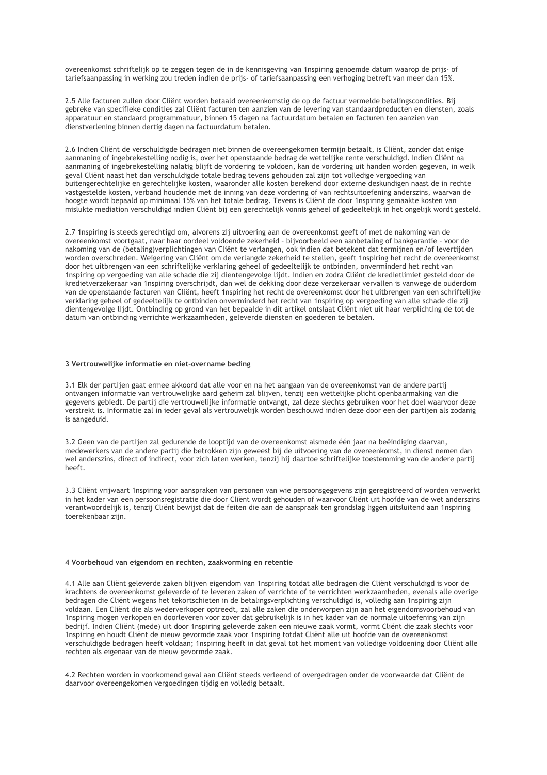overeenkomst schriftelijk op te zeggen tegen de in de kennisgeving van 1nspiring genoemde datum waarop de prijs- of tariefsaanpassing in werking zou treden indien de prijs- of tariefsaanpassing een verhoging betreft van meer dan 15%.

2.5 Alle facturen zullen door Cliënt worden betaald overeenkomstig de op de factuur vermelde betalingscondities. Bij gebreke van specifieke condities zal Cliënt facturen ten aanzien van de levering van standaardproducten en diensten, zoals apparatuur en standaard programmatuur, binnen 15 dagen na factuurdatum betalen en facturen ten aanzien van dienstverlening binnen dertig dagen na factuurdatum betalen.

2.6 Indien Cliënt de verschuldigde bedragen niet binnen de overeengekomen termijn betaalt, is Cliënt, zonder dat enige aanmaning of ingebrekestelling nodig is, over het openstaande bedrag de wettelijke rente verschuldigd. Indien Cliënt na aanmaning of ingebrekestelling nalatig blijft de vordering te voldoen, kan de vordering uit handen worden gegeven, in welk geval Cliënt naast het dan verschuldigde totale bedrag tevens gehouden zal zijn tot volledige vergoeding van buitengerechtelijke en gerechtelijke kosten, waaronder alle kosten berekend door externe deskundigen naast de in rechte vastgestelde kosten, verband houdende met de inning van deze vordering of van rechtsuitoefening anderszins, waarvan de hoogte wordt bepaald op minimaal 15% van het totale bedrag. Tevens is Cliënt de door 1nspiring gemaakte kosten van mislukte mediation verschuldigd indien Cliënt bij een gerechtelijk vonnis geheel of gedeeltelijk in het ongelijk wordt gesteld.

2.7 1nspiring is steeds gerechtigd om, alvorens zij uitvoering aan de overeenkomst geeft of met de nakoming van de overeenkomst voortgaat, naar haar oordeel voldoende zekerheid – bijvoorbeeld een aanbetaling of bankgarantie – voor de nakoming van de (betaling)verplichtingen van Cliënt te verlangen, ook indien dat betekent dat termijnen en/of levertijden worden overschreden. Weigering van Cliënt om de verlangde zekerheid te stellen, geeft 1nspiring het recht de overeenkomst door het uitbrengen van een schriftelijke verklaring geheel of gedeeltelijk te ontbinden, onverminderd het recht van 1nspiring op vergoeding van alle schade die zij dientengevolge lijdt. Indien en zodra Cliënt de kredietlimiet gesteld door de kredietverzekeraar van 1nspiring overschrijdt, dan wel de dekking door deze verzekeraar vervallen is vanwege de ouderdom van de openstaande facturen van Cliënt, heeft 1nspiring het recht de overeenkomst door het uitbrengen van een schriftelijke verklaring geheel of gedeeltelijk te ontbinden onverminderd het recht van 1nspiring op vergoeding van alle schade die zij dientengevolge lijdt. Ontbinding op grond van het bepaalde in dit artikel ontslaat Cliënt niet uit haar verplichting de tot de datum van ontbinding verrichte werkzaamheden, geleverde diensten en goederen te betalen.

#### **3 Vertrouwelijke informatie en niet-overname beding**

3.1 Elk der partijen gaat ermee akkoord dat alle voor en na het aangaan van de overeenkomst van de andere partij ontvangen informatie van vertrouwelijke aard geheim zal blijven, tenzij een wettelijke plicht openbaarmaking van die gegevens gebiedt. De partij die vertrouwelijke informatie ontvangt, zal deze slechts gebruiken voor het doel waarvoor deze verstrekt is. Informatie zal in ieder geval als vertrouwelijk worden beschouwd indien deze door een der partijen als zodanig is aangeduid.

3.2 Geen van de partijen zal gedurende de looptijd van de overeenkomst alsmede één jaar na beëindiging daarvan, medewerkers van de andere partij die betrokken zijn geweest bij de uitvoering van de overeenkomst, in dienst nemen dan wel anderszins, direct of indirect, voor zich laten werken, tenzij hij daartoe schriftelijke toestemming van de andere partij heeft.

3.3 Cliënt vrijwaart 1nspiring voor aanspraken van personen van wie persoonsgegevens zijn geregistreerd of worden verwerkt in het kader van een persoonsregistratie die door Cliënt wordt gehouden of waarvoor Cliënt uit hoofde van de wet anderszins verantwoordelijk is, tenzij Cliënt bewijst dat de feiten die aan de aanspraak ten grondslag liggen uitsluitend aan 1nspiring toerekenbaar zijn.

#### **4 Voorbehoud van eigendom en rechten, zaakvorming en retentie**

4.1 Alle aan Cliënt geleverde zaken blijven eigendom van 1nspiring totdat alle bedragen die Cliënt verschuldigd is voor de krachtens de overeenkomst geleverde of te leveren zaken of verrichte of te verrichten werkzaamheden, evenals alle overige bedragen die Cliënt wegens het tekortschieten in de betalingsverplichting verschuldigd is, volledig aan 1nspiring zijn voldaan. Een Cliënt die als wederverkoper optreedt, zal alle zaken die onderworpen zijn aan het eigendomsvoorbehoud van 1nspiring mogen verkopen en doorleveren voor zover dat gebruikelijk is in het kader van de normale uitoefening van zijn bedrijf. Indien Cliënt (mede) uit door 1nspiring geleverde zaken een nieuwe zaak vormt, vormt Cliënt die zaak slechts voor 1nspiring en houdt Cliënt de nieuw gevormde zaak voor 1nspiring totdat Cliënt alle uit hoofde van de overeenkomst verschuldigde bedragen heeft voldaan; 1nspiring heeft in dat geval tot het moment van volledige voldoening door Cliënt alle rechten als eigenaar van de nieuw gevormde zaak.

4.2 Rechten worden in voorkomend geval aan Cliënt steeds verleend of overgedragen onder de voorwaarde dat Cliënt de daarvoor overeengekomen vergoedingen tijdig en volledig betaalt.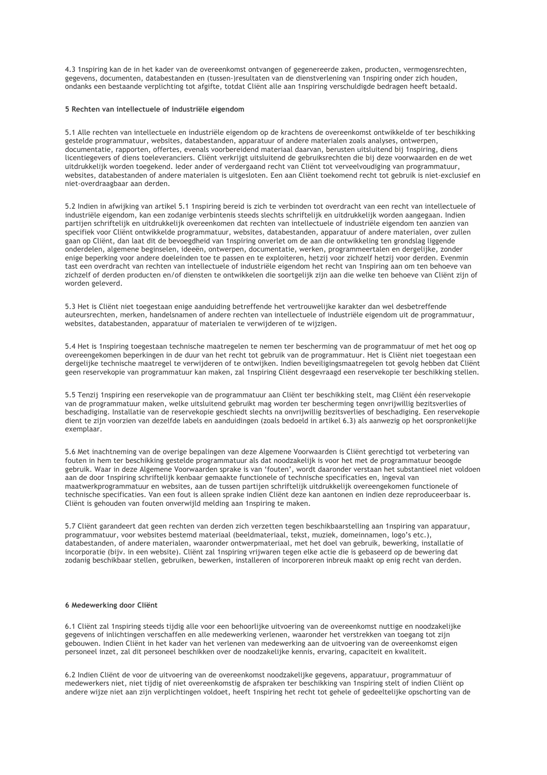4.3 1nspiring kan de in het kader van de overeenkomst ontvangen of gegenereerde zaken, producten, vermogensrechten, gegevens, documenten, databestanden en (tussen-)resultaten van de dienstverlening van 1nspiring onder zich houden, ondanks een bestaande verplichting tot afgifte, totdat Cliënt alle aan 1nspiring verschuldigde bedragen heeft betaald.

# **5 Rechten van intellectuele of industriële eigendom**

5.1 Alle rechten van intellectuele en industriële eigendom op de krachtens de overeenkomst ontwikkelde of ter beschikking gestelde programmatuur, websites, databestanden, apparatuur of andere materialen zoals analyses, ontwerpen, documentatie, rapporten, offertes, evenals voorbereidend materiaal daarvan, berusten uitsluitend bij 1nspiring, diens licentiegevers of diens toeleveranciers. Cliënt verkrijgt uitsluitend de gebruiksrechten die bij deze voorwaarden en de wet uitdrukkelijk worden toegekend. Ieder ander of verdergaand recht van Cliënt tot verveelvoudiging van programmatuur, websites, databestanden of andere materialen is uitgesloten. Een aan Cliënt toekomend recht tot gebruik is niet-exclusief en niet-overdraagbaar aan derden.

5.2 Indien in afwijking van artikel 5.1 1nspiring bereid is zich te verbinden tot overdracht van een recht van intellectuele of industriële eigendom, kan een zodanige verbintenis steeds slechts schriftelijk en uitdrukkelijk worden aangegaan. Indien partijen schriftelijk en uitdrukkelijk overeenkomen dat rechten van intellectuele of industriële eigendom ten aanzien van specifiek voor Cliënt ontwikkelde programmatuur, websites, databestanden, apparatuur of andere materialen, over zullen gaan op Cliënt, dan laat dit de bevoegdheid van 1nspiring onverlet om de aan die ontwikkeling ten grondslag liggende onderdelen, algemene beginselen, ideeën, ontwerpen, documentatie, werken, programmeertalen en dergelijke, zonder enige beperking voor andere doeleinden toe te passen en te exploiteren, hetzij voor zichzelf hetzij voor derden. Evenmin tast een overdracht van rechten van intellectuele of industriële eigendom het recht van 1nspiring aan om ten behoeve van zichzelf of derden producten en/of diensten te ontwikkelen die soortgelijk zijn aan die welke ten behoeve van Cliënt zijn of worden geleverd.

5.3 Het is Cliënt niet toegestaan enige aanduiding betreffende het vertrouwelijke karakter dan wel desbetreffende auteursrechten, merken, handelsnamen of andere rechten van intellectuele of industriële eigendom uit de programmatuur, websites, databestanden, apparatuur of materialen te verwijderen of te wijzigen.

5.4 Het is 1nspiring toegestaan technische maatregelen te nemen ter bescherming van de programmatuur of met het oog op overeengekomen beperkingen in de duur van het recht tot gebruik van de programmatuur. Het is Cliënt niet toegestaan een dergelijke technische maatregel te verwijderen of te ontwijken. Indien beveiligingsmaatregelen tot gevolg hebben dat Cliënt geen reservekopie van programmatuur kan maken, zal 1nspiring Cliënt desgevraagd een reservekopie ter beschikking stellen.

5.5 Tenzij 1nspiring een reservekopie van de programmatuur aan Cliënt ter beschikking stelt, mag Cliënt één reservekopie van de programmatuur maken, welke uitsluitend gebruikt mag worden ter bescherming tegen onvrijwillig bezitsverlies of beschadiging. Installatie van de reservekopie geschiedt slechts na onvrijwillig bezitsverlies of beschadiging. Een reservekopie dient te zijn voorzien van dezelfde labels en aanduidingen (zoals bedoeld in artikel 6.3) als aanwezig op het oorspronkelijke exemplaar.

5.6 Met inachtneming van de overige bepalingen van deze Algemene Voorwaarden is Cliënt gerechtigd tot verbetering van fouten in hem ter beschikking gestelde programmatuur als dat noodzakelijk is voor het met de programmatuur beoogde gebruik. Waar in deze Algemene Voorwaarden sprake is van 'fouten', wordt daaronder verstaan het substantieel niet voldoen aan de door 1nspiring schriftelijk kenbaar gemaakte functionele of technische specificaties en, ingeval van maatwerkprogrammatuur en websites, aan de tussen partijen schriftelijk uitdrukkelijk overeengekomen functionele of technische specificaties. Van een fout is alleen sprake indien Cliënt deze kan aantonen en indien deze reproduceerbaar is. Cliënt is gehouden van fouten onverwijld melding aan 1nspiring te maken.

5.7 Cliënt garandeert dat geen rechten van derden zich verzetten tegen beschikbaarstelling aan 1nspiring van apparatuur, programmatuur, voor websites bestemd materiaal (beeldmateriaal, tekst, muziek, domeinnamen, logo's etc.), databestanden, of andere materialen, waaronder ontwerpmateriaal, met het doel van gebruik, bewerking, installatie of incorporatie (bijv. in een website). Cliënt zal 1nspiring vrijwaren tegen elke actie die is gebaseerd op de bewering dat zodanig beschikbaar stellen, gebruiken, bewerken, installeren of incorporeren inbreuk maakt op enig recht van derden.

## **6 Medewerking door Cliënt**

6.1 Cliënt zal 1nspiring steeds tijdig alle voor een behoorlijke uitvoering van de overeenkomst nuttige en noodzakelijke gegevens of inlichtingen verschaffen en alle medewerking verlenen, waaronder het verstrekken van toegang tot zijn gebouwen. Indien Cliënt in het kader van het verlenen van medewerking aan de uitvoering van de overeenkomst eigen personeel inzet, zal dit personeel beschikken over de noodzakelijke kennis, ervaring, capaciteit en kwaliteit.

6.2 Indien Cliënt de voor de uitvoering van de overeenkomst noodzakelijke gegevens, apparatuur, programmatuur of medewerkers niet, niet tijdig of niet overeenkomstig de afspraken ter beschikking van 1nspiring stelt of indien Cliënt op andere wijze niet aan zijn verplichtingen voldoet, heeft 1nspiring het recht tot gehele of gedeeltelijke opschorting van de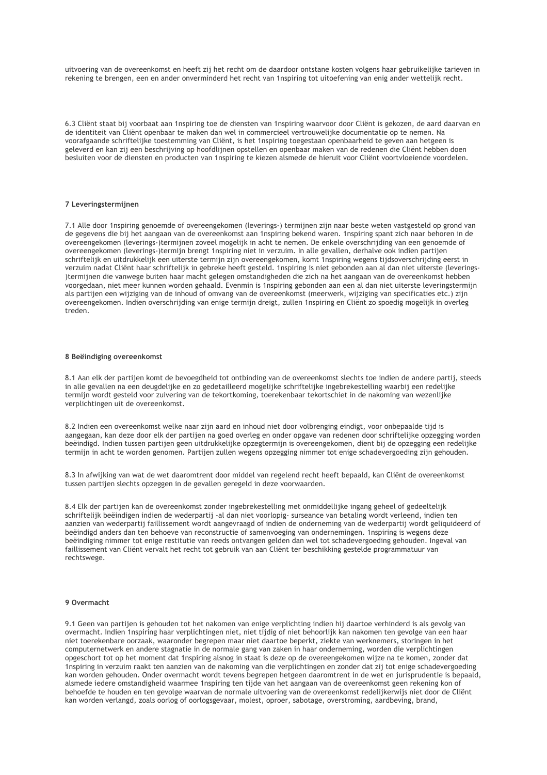uitvoering van de overeenkomst en heeft zij het recht om de daardoor ontstane kosten volgens haar gebruikelijke tarieven in rekening te brengen, een en ander onverminderd het recht van 1nspiring tot uitoefening van enig ander wettelijk recht.

6.3 Cliënt staat bij voorbaat aan 1nspiring toe de diensten van 1nspiring waarvoor door Cliënt is gekozen, de aard daarvan en de identiteit van Cliënt openbaar te maken dan wel in commercieel vertrouwelijke documentatie op te nemen. Na voorafgaande schriftelijke toestemming van Cliënt, is het 1nspiring toegestaan openbaarheid te geven aan hetgeen is geleverd en kan zij een beschrijving op hoofdlijnen opstellen en openbaar maken van de redenen die Cliënt hebben doen besluiten voor de diensten en producten van 1nspiring te kiezen alsmede de hieruit voor Cliënt voortvloeiende voordelen.

#### **7 Leveringstermijnen**

7.1 Alle door 1nspiring genoemde of overeengekomen (leverings-) termijnen zijn naar beste weten vastgesteld op grond van de gegevens die bij het aangaan van de overeenkomst aan 1nspiring bekend waren. 1nspiring spant zich naar behoren in de overeengekomen (leverings-)termijnen zoveel mogelijk in acht te nemen. De enkele overschrijding van een genoemde of overeengekomen (leverings-)termijn brengt 1nspiring niet in verzuim. In alle gevallen, derhalve ook indien partijen schriftelijk en uitdrukkelijk een uiterste termijn zijn overeengekomen, komt 1nspiring wegens tijdsoverschrijding eerst in verzuim nadat Cliënt haar schriftelijk in gebreke heeft gesteld. 1nspiring is niet gebonden aan al dan niet uiterste (leverings- )termijnen die vanwege buiten haar macht gelegen omstandigheden die zich na het aangaan van de overeenkomst hebben voorgedaan, niet meer kunnen worden gehaald. Evenmin is 1nspiring gebonden aan een al dan niet uiterste leveringstermijn als partijen een wijziging van de inhoud of omvang van de overeenkomst (meerwerk, wijziging van specificaties etc.) zijn overeengekomen. Indien overschrijding van enige termijn dreigt, zullen 1nspiring en Cliënt zo spoedig mogelijk in overleg treden.

# **8 Beëindiging overeenkomst**

8.1 Aan elk der partijen komt de bevoegdheid tot ontbinding van de overeenkomst slechts toe indien de andere partij, steeds in alle gevallen na een deugdelijke en zo gedetailleerd mogelijke schriftelijke ingebrekestelling waarbij een redelijke termijn wordt gesteld voor zuivering van de tekortkoming, toerekenbaar tekortschiet in de nakoming van wezenlijke verplichtingen uit de overeenkomst.

8.2 Indien een overeenkomst welke naar zijn aard en inhoud niet door volbrenging eindigt, voor onbepaalde tijd is aangegaan, kan deze door elk der partijen na goed overleg en onder opgave van redenen door schriftelijke opzegging worden beëindigd. Indien tussen partijen geen uitdrukkelijke opzegtermijn is overeengekomen, dient bij de opzegging een redelijke termijn in acht te worden genomen. Partijen zullen wegens opzegging nimmer tot enige schadevergoeding zijn gehouden.

8.3 In afwijking van wat de wet daaromtrent door middel van regelend recht heeft bepaald, kan Cliënt de overeenkomst tussen partijen slechts opzeggen in de gevallen geregeld in deze voorwaarden.

8.4 Elk der partijen kan de overeenkomst zonder ingebrekestelling met onmiddellijke ingang geheel of gedeeltelijk schriftelijk beëindigen indien de wederpartij -al dan niet voorlopig- surseance van betaling wordt verleend, indien ten aanzien van wederpartij faillissement wordt aangevraagd of indien de onderneming van de wederpartij wordt geliquideerd of beëindigd anders dan ten behoeve van reconstructie of samenvoeging van ondernemingen. 1nspiring is wegens deze beëindiging nimmer tot enige restitutie van reeds ontvangen gelden dan wel tot schadevergoeding gehouden. Ingeval van faillissement van Cliënt vervalt het recht tot gebruik van aan Cliënt ter beschikking gestelde programmatuur van rechtswege.

# **9 Overmacht**

9.1 Geen van partijen is gehouden tot het nakomen van enige verplichting indien hij daartoe verhinderd is als gevolg van overmacht. Indien 1nspiring haar verplichtingen niet, niet tijdig of niet behoorlijk kan nakomen ten gevolge van een haar niet toerekenbare oorzaak, waaronder begrepen maar niet daartoe beperkt, ziekte van werknemers, storingen in het computernetwerk en andere stagnatie in de normale gang van zaken in haar onderneming, worden die verplichtingen opgeschort tot op het moment dat 1nspiring alsnog in staat is deze op de overeengekomen wijze na te komen, zonder dat 1nspiring in verzuim raakt ten aanzien van de nakoming van die verplichtingen en zonder dat zij tot enige schadevergoeding kan worden gehouden. Onder overmacht wordt tevens begrepen hetgeen daaromtrent in de wet en jurisprudentie is bepaald, alsmede iedere omstandigheid waarmee 1nspiring ten tijde van het aangaan van de overeenkomst geen rekening kon of behoefde te houden en ten gevolge waarvan de normale uitvoering van de overeenkomst redelijkerwijs niet door de Cliënt kan worden verlangd, zoals oorlog of oorlogsgevaar, molest, oproer, sabotage, overstroming, aardbeving, brand,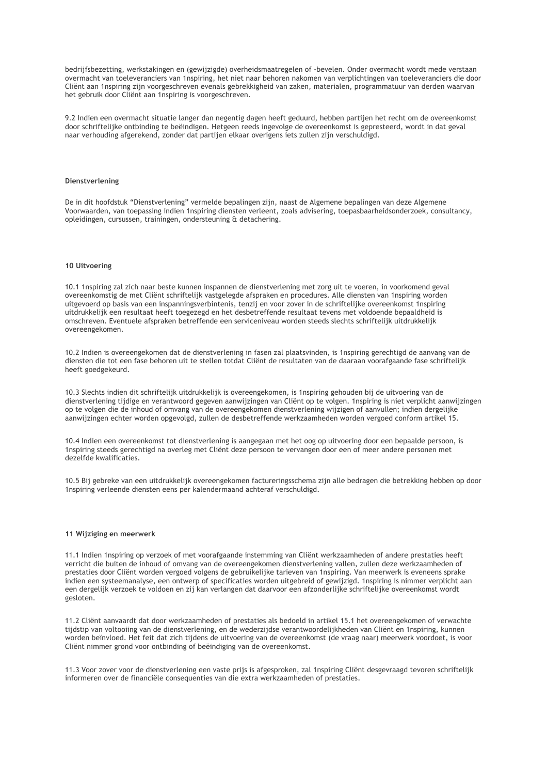bedrijfsbezetting, werkstakingen en (gewijzigde) overheidsmaatregelen of -bevelen. Onder overmacht wordt mede verstaan overmacht van toeleveranciers van 1nspiring, het niet naar behoren nakomen van verplichtingen van toeleveranciers die door Cliënt aan 1nspiring zijn voorgeschreven evenals gebrekkigheid van zaken, materialen, programmatuur van derden waarvan het gebruik door Cliënt aan 1nspiring is voorgeschreven.

9.2 Indien een overmacht situatie langer dan negentig dagen heeft geduurd, hebben partijen het recht om de overeenkomst door schriftelijke ontbinding te beëindigen. Hetgeen reeds ingevolge de overeenkomst is gepresteerd, wordt in dat geval naar verhouding afgerekend, zonder dat partijen elkaar overigens iets zullen zijn verschuldigd.

# **Dienstverlening**

De in dit hoofdstuk "Dienstverlening" vermelde bepalingen zijn, naast de Algemene bepalingen van deze Algemene Voorwaarden, van toepassing indien 1nspiring diensten verleent, zoals advisering, toepasbaarheidsonderzoek, consultancy, opleidingen, cursussen, trainingen, ondersteuning & detachering.

# **10 Uitvoering**

10.1 1nspiring zal zich naar beste kunnen inspannen de dienstverlening met zorg uit te voeren, in voorkomend geval overeenkomstig de met Cliënt schriftelijk vastgelegde afspraken en procedures. Alle diensten van 1nspiring worden uitgevoerd op basis van een inspanningsverbintenis, tenzij en voor zover in de schriftelijke overeenkomst 1nspiring uitdrukkelijk een resultaat heeft toegezegd en het desbetreffende resultaat tevens met voldoende bepaaldheid is omschreven. Eventuele afspraken betreffende een serviceniveau worden steeds slechts schriftelijk uitdrukkelijk overeengekomen.

10.2 Indien is overeengekomen dat de dienstverlening in fasen zal plaatsvinden, is 1nspiring gerechtigd de aanvang van de diensten die tot een fase behoren uit te stellen totdat Cliënt de resultaten van de daaraan voorafgaande fase schriftelijk heeft goedgekeurd.

10.3 Slechts indien dit schriftelijk uitdrukkelijk is overeengekomen, is 1nspiring gehouden bij de uitvoering van de dienstverlening tijdige en verantwoord gegeven aanwijzingen van Cliënt op te volgen. 1nspiring is niet verplicht aanwijzingen op te volgen die de inhoud of omvang van de overeengekomen dienstverlening wijzigen of aanvullen; indien dergelijke aanwijzingen echter worden opgevolgd, zullen de desbetreffende werkzaamheden worden vergoed conform artikel 15.

10.4 Indien een overeenkomst tot dienstverlening is aangegaan met het oog op uitvoering door een bepaalde persoon, is 1nspiring steeds gerechtigd na overleg met Cliënt deze persoon te vervangen door een of meer andere personen met dezelfde kwalificaties.

10.5 Bij gebreke van een uitdrukkelijk overeengekomen factureringsschema zijn alle bedragen die betrekking hebben op door 1nspiring verleende diensten eens per kalendermaand achteraf verschuldigd.

## **11 Wijziging en meerwerk**

11.1 Indien 1nspiring op verzoek of met voorafgaande instemming van Cliënt werkzaamheden of andere prestaties heeft verricht die buiten de inhoud of omvang van de overeengekomen dienstverlening vallen, zullen deze werkzaamheden of prestaties door Cliënt worden vergoed volgens de gebruikelijke tarieven van 1nspiring. Van meerwerk is eveneens sprake indien een systeemanalyse, een ontwerp of specificaties worden uitgebreid of gewijzigd. 1nspiring is nimmer verplicht aan een dergelijk verzoek te voldoen en zij kan verlangen dat daarvoor een afzonderlijke schriftelijke overeenkomst wordt gesloten.

11.2 Cliënt aanvaardt dat door werkzaamheden of prestaties als bedoeld in artikel 15.1 het overeengekomen of verwachte tijdstip van voltooiing van de dienstverlening, en de wederzijdse verantwoordelijkheden van Cliënt en 1nspiring, kunnen worden beïnvloed. Het feit dat zich tijdens de uitvoering van de overeenkomst (de vraag naar) meerwerk voordoet, is voor Cliënt nimmer grond voor ontbinding of beëindiging van de overeenkomst.

11.3 Voor zover voor de dienstverlening een vaste prijs is afgesproken, zal 1nspiring Cliënt desgevraagd tevoren schriftelijk informeren over de financiële consequenties van die extra werkzaamheden of prestaties.